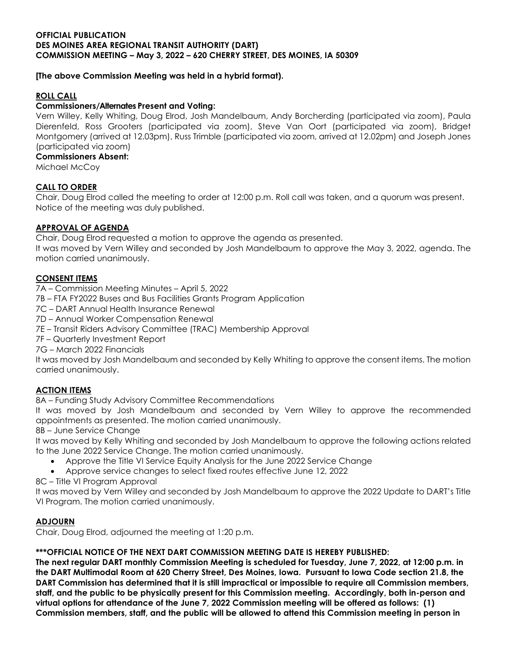### **[The above Commission Meeting was held in a hybrid format).**

# **ROLL CALL**

## **Commissioners/Alternates Present and Voting:**

Vern Willey, Kelly Whiting, Doug Elrod, Josh Mandelbaum, Andy Borcherding (participated via zoom), Paula Dierenfeld, Ross Grooters (participated via zoom), Steve Van Oort (participated via zoom), Bridget Montgomery (arrived at 12.03pm), Russ Trimble (participated via zoom, arrived at 12.02pm) and Joseph Jones (participated via zoom)

#### **Commissioners Absent:**

Michael McCoy

## **CALL TO ORDER**

Chair, Doug Elrod called the meeting to order at 12:00 p.m. Roll call was taken, and a quorum was present. Notice of the meeting was duly published.

# **APPROVAL OF AGENDA**

Chair, Doug Elrod requested a motion to approve the agenda as presented.

It was moved by Vern Willey and seconded by Josh Mandelbaum to approve the May 3, 2022, agenda. The motion carried unanimously.

# **CONSENT ITEMS**

- 7A Commission Meeting Minutes April 5, 2022
- 7B FTA FY2022 Buses and Bus Facilities Grants Program Application
- 7C DART Annual Health Insurance Renewal
- 7D Annual Worker Compensation Renewal
- 7E Transit Riders Advisory Committee (TRAC) Membership Approval
- 7F Quarterly Investment Report
- 7G March 2022 Financials

It was moved by Josh Mandelbaum and seconded by Kelly Whiting to approve the consent items. The motion carried unanimously.

# **ACTION ITEMS**

8A – Funding Study Advisory Committee Recommendations

It was moved by Josh Mandelbaum and seconded by Vern Willey to approve the recommended appointments as presented. The motion carried unanimously.

8B – June Service Change

It was moved by Kelly Whiting and seconded by Josh Mandelbaum to approve the following actions related to the June 2022 Service Change. The motion carried unanimously.

- Approve the Title VI Service Equity Analysis for the June 2022 Service Change
- Approve service changes to select fixed routes effective June 12, 2022

8C – Title VI Program Approval

It was moved by Vern Willey and seconded by Josh Mandelbaum to approve the 2022 Update to DART's Title VI Program. The motion carried unanimously.

## **ADJOURN**

Chair, Doug Elrod, adjourned the meeting at 1:20 p.m.

## **\*\*\*OFFICIAL NOTICE OF THE NEXT DART COMMISSION MEETING DATE IS HEREBY PUBLISHED:**

**The next regular DART monthly Commission Meeting is scheduled for Tuesday, June 7, 2022, at 12:00 p.m. in the DART Multimodal Room at 620 Cherry Street, Des Moines, Iowa. Pursuant to Iowa Code section 21.8, the DART Commission has determined that it is still impractical or impossible to require all Commission members, staff, and the public to be physically present for this Commission meeting. Accordingly, both in-person and virtual options for attendance of the June 7, 2022 Commission meeting will be offered as follows: (1) Commission members, staff, and the public will be allowed to attend this Commission meeting in person in**